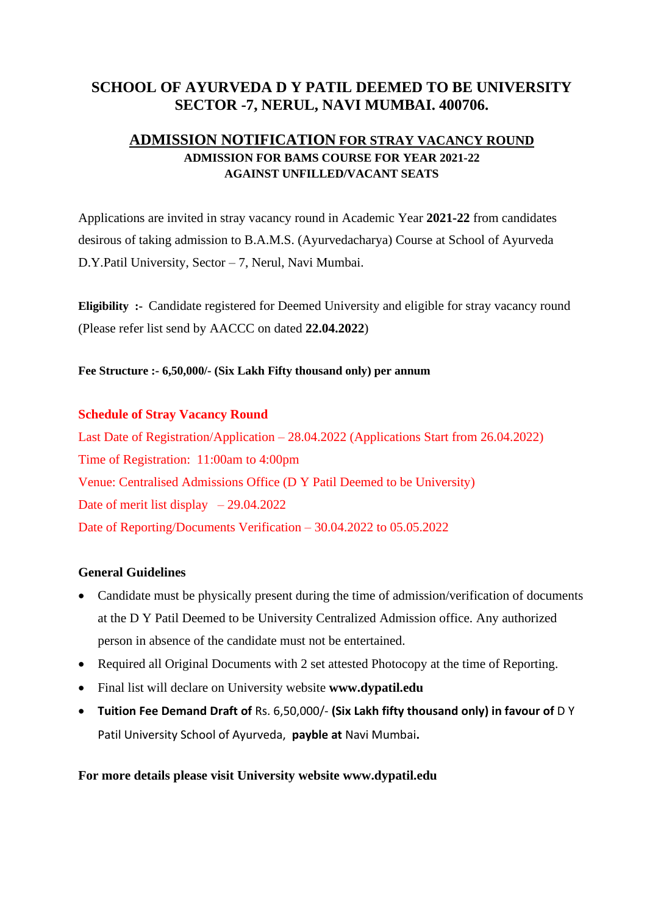## **SCHOOL OF AYURVEDA D Y PATIL DEEMED TO BE UNIVERSITY SECTOR -7, NERUL, NAVI MUMBAI. 400706.**

## **ADMISSION NOTIFICATION FOR STRAY VACANCY ROUND ADMISSION FOR BAMS COURSE FOR YEAR 2021-22 AGAINST UNFILLED/VACANT SEATS**

Applications are invited in stray vacancy round in Academic Year **2021-22** from candidates desirous of taking admission to B.A.M.S. (Ayurvedacharya) Course at School of Ayurveda D.Y.Patil University, Sector – 7, Nerul, Navi Mumbai.

**Eligibility :-** Candidate registered for Deemed University and eligible for stray vacancy round (Please refer list send by AACCC on dated **22.04.2022**)

**Fee Structure :- 6,50,000/- (Six Lakh Fifty thousand only) per annum** 

## **Schedule of Stray Vacancy Round**

Last Date of Registration/Application – 28.04.2022 (Applications Start from 26.04.2022) Time of Registration: 11:00am to 4:00pm Venue: Centralised Admissions Office (D Y Patil Deemed to be University) Date of merit list display – 29.04.2022 Date of Reporting/Documents Verification – 30.04.2022 to 05.05.2022

## **General Guidelines**

- Candidate must be physically present during the time of admission/verification of documents at the D Y Patil Deemed to be University Centralized Admission office. Any authorized person in absence of the candidate must not be entertained.
- Required all Original Documents with 2 set attested Photocopy at the time of Reporting.
- Final list will declare on University website **www.dypatil.edu**
- **Tuition Fee Demand Draft of** Rs. 6,50,000/- **(Six Lakh fifty thousand only) in favour of** D Y Patil University School of Ayurveda, **payble at** Navi Mumbai**.**

**For more details please visit University website www.dypatil.edu**